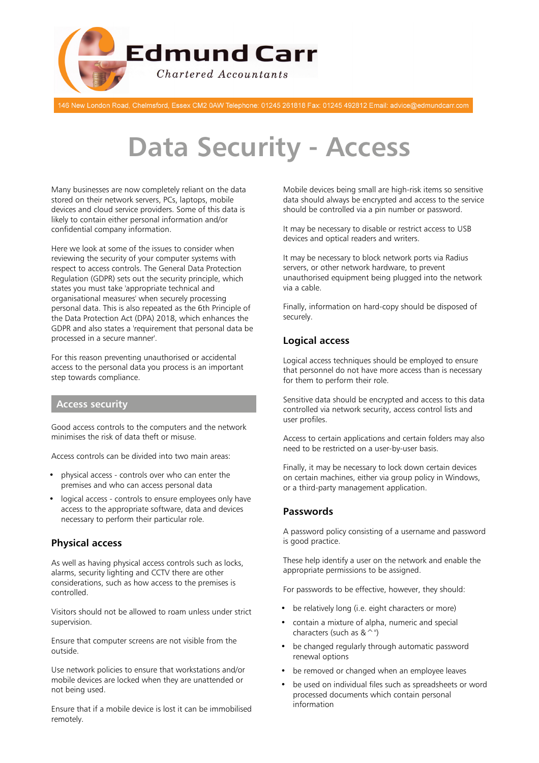

146 New London Road, Chelmsford, Essex CM2 0AW Telephone: 01245 261818 Fax: 01245 492812 Email: advice@edmundcarr.com

# **Data Security - Access**

Many businesses are now completely reliant on the data stored on their network servers, PCs, laptops, mobile devices and cloud service providers. Some of this data is likely to contain either personal information and/or confidential company information.

Here we look at some of the issues to consider when reviewing the security of your computer systems with respect to access controls. The General Data Protection Regulation (GDPR) sets out the security principle, which states you must take 'appropriate technical and organisational measures' when securely processing personal data. This is also repeated as the 6th Principle of the Data Protection Act (DPA) 2018, which enhances the GDPR and also states a 'requirement that personal data be processed in a secure manner'.

For this reason preventing unauthorised or accidental access to the personal data you process is an important step towards compliance.

#### **Access security**

Good access controls to the computers and the network minimises the risk of data theft or misuse.

Access controls can be divided into two main areas:

- physical access controls over who can enter the premises and who can access personal data
- logical access controls to ensure employees only have access to the appropriate software, data and devices necessary to perform their particular role.

# **Physical access**

As well as having physical access controls such as locks, alarms, security lighting and CCTV there are other considerations, such as how access to the premises is controlled.

Visitors should not be allowed to roam unless under strict supervision.

Ensure that computer screens are not visible from the outside.

Use network policies to ensure that workstations and/or mobile devices are locked when they are unattended or not being used.

Ensure that if a mobile device is lost it can be immobilised remotely.

Mobile devices being small are high-risk items so sensitive data should always be encrypted and access to the service should be controlled via a pin number or password.

It may be necessary to disable or restrict access to USB devices and optical readers and writers.

It may be necessary to block network ports via Radius servers, or other network hardware, to prevent unauthorised equipment being plugged into the network via a cable.

Finally, information on hard-copy should be disposed of securely.

# **Logical access**

Logical access techniques should be employed to ensure that personnel do not have more access than is necessary for them to perform their role.

Sensitive data should be encrypted and access to this data controlled via network security, access control lists and user profiles.

Access to certain applications and certain folders may also need to be restricted on a user-by-user basis.

Finally, it may be necessary to lock down certain devices on certain machines, either via group policy in Windows, or a third-party management application.

## **Passwords**

A password policy consisting of a username and password is good practice.

These help identify a user on the network and enable the appropriate permissions to be assigned.

For passwords to be effective, however, they should:

- be relatively long (i.e. eight characters or more)
- contain a mixture of alpha, numeric and special characters (such as  $&$   $^{\sim}$ ")
- be changed regularly through automatic password renewal options
- be removed or changed when an employee leaves
- be used on individual files such as spreadsheets or word processed documents which contain personal information